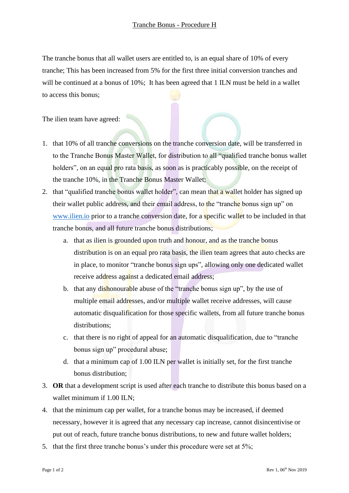The tranche bonus that all wallet users are entitled to, is an equal share of 10% of every tranche; This has been increased from 5% for the first three initial conversion tranches and will be continued at a bonus of 10%; It has been agreed that 1 ILN must be held in a wallet to access this bonus;

The ilien team have agreed:

- 1. that 10% of all tranche conversions on the tranche conversion date, will be transferred in to the Tranche Bonus Master Wallet, for distribution to all "qualified tranche bonus wallet holders", on an equal pro rata basis, as soon as is practicably possible, on the receipt of the tranche 10%, in the Tranche Bonus Master Wallet;
- 2. that "qualified tranche bonus wallet holder", can mean that a wallet holder has signed up their wallet public address, and their email address, to the "tranche bonus sign up" on [www.ilien.io](http://www.ilien.io/) prior to a tranche conversion date, for a **specific wallet to be included in that** tranche bonus, and all future tranche bonus distributions;
	- a. that as ilien is grounded upon truth and honour, and as the tranche bonus distribution is on an equal pro rata basis, the ilien team agrees that auto checks are in place, to monitor "tranche bonus sign ups", allowing only one dedicated wallet receive address against a dedicated email address;
	- b. that any dishonourable abuse of the "tranche bonus sign up", by the use of multiple email addresses, and/or multiple wallet receive addresses, will cause automatic disqualification for those specific wallets, from all future tranche bonus distributions;
	- c. that there is no right of appeal for an automatic disqualification, due to "tranche bonus sign up" procedural abuse;
	- d. that a minimum cap of 1.00 ILN per wallet is initially set, for the first tranche bonus distribution;
- 3. **OR** that a development script is used after each tranche to distribute this bonus based on a wallet minimum if 1.00 ILN;
- 4. that the minimum cap per wallet, for a tranche bonus may be increased, if deemed necessary, however it is agreed that any necessary cap increase, cannot disincentivise or put out of reach, future tranche bonus distributions, to new and future wallet holders;
- 5. that the first three tranche bonus's under this procedure were set at 5%;